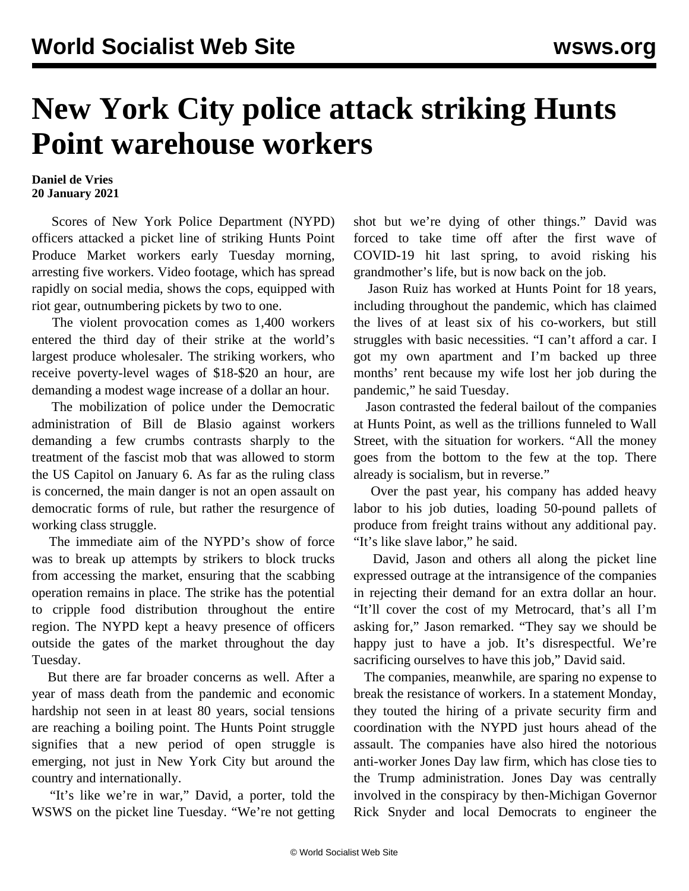## **New York City police attack striking Hunts Point warehouse workers**

## **Daniel de Vries 20 January 2021**

 Scores of New York Police Department (NYPD) officers attacked a picket line of striking Hunts Point Produce Market workers early Tuesday morning, arresting five workers. Video [footage,](https://twitter.com/teamstersjc16/status/1351569741966680065?s=21) which has spread rapidly on social media, shows the cops, equipped with riot gear, outnumbering pickets by two to one.

 The violent provocation comes as 1,400 workers entered the third day of their strike at the world's largest produce wholesaler. The striking workers, who receive poverty-level wages of \$18-\$20 an hour, are demanding a modest wage increase of a dollar an hour.

 The mobilization of police under the Democratic administration of Bill de Blasio against workers demanding a few crumbs contrasts sharply to the treatment of the fascist mob that was allowed to storm the US Capitol on January 6. As far as the ruling class is concerned, the main danger is not an open assault on democratic forms of rule, but rather the resurgence of working class struggle.

 The immediate aim of the NYPD's show of force was to break up attempts by strikers to block trucks from accessing the market, ensuring that the scabbing operation remains in place. The strike has the potential to cripple food distribution throughout the entire region. The NYPD kept a heavy presence of officers outside the gates of the market throughout the day Tuesday.

 But there are far broader concerns as well. After a year of mass death from the pandemic and economic hardship not seen in at least 80 years, social tensions are reaching a boiling point. The Hunts Point struggle signifies that a new period of open struggle is emerging, not just in New York City but around the country and internationally.

 "It's like we're in war," David, a porter, told the WSWS on the picket line Tuesday. "We're not getting shot but we're dying of other things." David was forced to take time off after the first wave of COVID-19 hit last spring, to avoid risking his grandmother's life, but is now back on the job.

 Jason Ruiz has worked at Hunts Point for 18 years, including throughout the pandemic, which has claimed the lives of at least six of his co-workers, but still struggles with basic necessities. "I can't afford a car. I got my own apartment and I'm backed up three months' rent because my wife lost her job during the pandemic," he said Tuesday.

 Jason contrasted the federal bailout of the companies at Hunts Point, as well as the trillions funneled to Wall Street, with the situation for workers. "All the money goes from the bottom to the few at the top. There already is socialism, but in reverse."

 Over the past year, his company has added heavy labor to his job duties, loading 50-pound pallets of produce from freight trains without any additional pay. "It's like slave labor," he said.

 David, Jason and others all along the picket line expressed outrage at the intransigence of the companies in rejecting their demand for an extra dollar an hour. "It'll cover the cost of my Metrocard, that's all I'm asking for," Jason remarked. "They say we should be happy just to have a job. It's disrespectful. We're sacrificing ourselves to have this job," David said.

 The companies, meanwhile, are sparing no expense to break the resistance of workers. In a statement Monday, they touted the hiring of a private security firm and coordination with the NYPD just hours ahead of the assault. The companies have also hired the notorious anti-worker Jones Day law firm, which has close ties to the Trump administration. Jones Day was centrally involved in the conspiracy by then-Michigan Governor Rick Snyder and local Democrats to engineer the